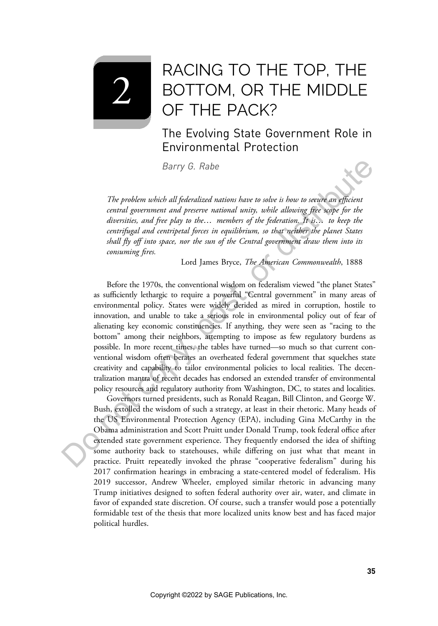

# RACING TO THE TOP, THE BOTTOM, OR THE MIDDLE OF THE PACK?

The Evolving State Government Role in Environmental Protection

Barry G. Rabe

The problem which all federalized nations have to solve is how to secure an efficient central government and preserve national unity, while allowing free scope for the diversities, and free play to the… members of the federation. It is… to keep the centrifugal and centripetal forces in equilibrium, so that neither the planet States shall fly off into space, nor the sun of the Central government draw them into its consuming fires.

Lord James Bryce, The American Commonwealth, 1888

Before the 1970s, the conventional wisdom on federalism viewed "the planet States" as sufficiently lethargic to require a powerful "Central government" in many areas of environmental policy. States were widely derided as mired in corruption, hostile to innovation, and unable to take a serious role in environmental policy out of fear of alienating key economic constituencies. If anything, they were seen as "racing to the bottom" among their neighbors, attempting to impose as few regulatory burdens as possible. In more recent times, the tables have turned—so much so that current conventional wisdom often berates an overheated federal government that squelches state creativity and capability to tailor environmental policies to local realities. The decentralization mantra of recent decades has endorsed an extended transfer of environmental policy resources and regulatory authority from Washington, DC, to states and localities.

Governors turned presidents, such as Ronald Reagan, Bill Clinton, and George W. Bush, extolled the wisdom of such a strategy, at least in their rhetoric. Many heads of the US Environmental Protection Agency (EPA), including Gina McCarthy in the Obama administration and Scott Pruitt under Donald Trump, took federal office after extended state government experience. They frequently endorsed the idea of shifting some authority back to statehouses, while differing on just what that meant in practice. Pruitt repeatedly invoked the phrase "cooperative federalism" during his 2017 confirmation hearings in embracing a state-centered model of federalism. His 2019 successor, Andrew Wheeler, employed similar rhetoric in advancing many Trump initiatives designed to soften federal authority over air, water, and climate in favor of expanded state discretion. Of course, such a transfer would pose a potentially formidable test of the thesis that more localized units know best and has faced major political hurdles. Earry G. Rabe<br>
The problem which all federalized autions have to sake is how to sensor an effection<br>
consider a consider and processes rational unity, while allowing five soles for the<br>
diversition, and the player of the

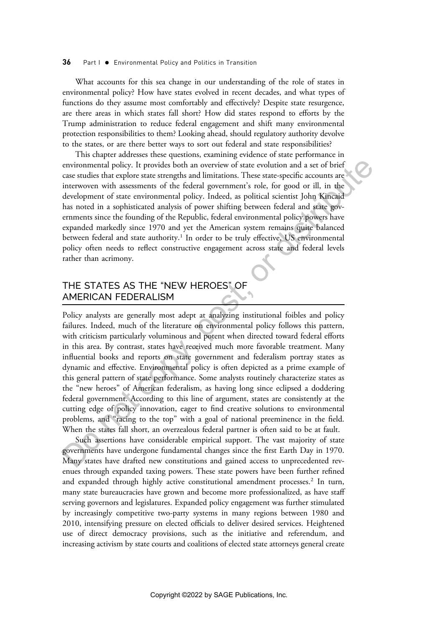What accounts for this sea change in our understanding of the role of states in environmental policy? How have states evolved in recent decades, and what types of functions do they assume most comfortably and effectively? Despite state resurgence, are there areas in which states fall short? How did states respond to efforts by the Trump administration to reduce federal engagement and shift many environmental protection responsibilities to them? Looking ahead, should regulatory authority devolve to the states, or are there better ways to sort out federal and state responsibilities?

This chapter addresses these questions, examining evidence of state performance in environmental policy. It provides both an overview of state evolution and a set of brief case studies that explore state strengths and limitations. These state-specific accounts are interwoven with assessments of the federal government's role, for good or ill, in the development of state environmental policy. Indeed, as political scientist John Kincaid has noted in a sophisticated analysis of power shifting between federal and state governments since the founding of the Republic, federal environmental policy powers have expanded markedly since 1970 and yet the American system remains quite balanced between federal and state authority.<sup>1</sup> In order to be truly effective, US environmental policy often needs to reflect constructive engagement across state and federal levels rather than acrimony.

# THE STATES AS THE "NEW HEROES" OF AMERICAN FEDERALISM

Policy analysts are generally most adept at analyzing institutional foibles and policy failures. Indeed, much of the literature on environmental policy follows this pattern, with criticism particularly voluminous and potent when directed toward federal efforts in this area. By contrast, states have received much more favorable treatment. Many influential books and reports on state government and federalism portray states as dynamic and effective. Environmental policy is often depicted as a prime example of this general pattern of state performance. Some analysts routinely characterize states as the "new heroes" of American federalism, as having long since eclipsed a doddering federal government. According to this line of argument, states are consistently at the cutting edge of policy innovation, eager to find creative solutions to environmental problems, and "racing to the top" with a goal of national preeminence in the field. When the states fall short, an overzealous federal partner is often said to be at fault. environmental policy. It provides both an overlow of state evolution and as et of birel policy. In evolution and set of birel agreement's ode, for good or ill, in the full constrained designed anomaly only the full comple

Such assertions have considerable empirical support. The vast majority of state governments have undergone fundamental changes since the first Earth Day in 1970. Many states have drafted new constitutions and gained access to unprecedented revenues through expanded taxing powers. These state powers have been further refined and expanded through highly active constitutional amendment processes.<sup>2</sup> In turn, many state bureaucracies have grown and become more professionalized, as have staff serving governors and legislatures. Expanded policy engagement was further stimulated by increasingly competitive two-party systems in many regions between 1980 and 2010, intensifying pressure on elected officials to deliver desired services. Heightened use of direct democracy provisions, such as the initiative and referendum, and increasing activism by state courts and coalitions of elected state attorneys general create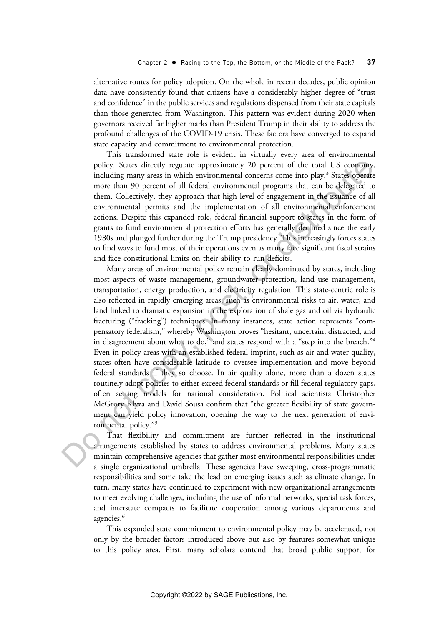alternative routes for policy adoption. On the whole in recent decades, public opinion data have consistently found that citizens have a considerably higher degree of "trust and confidence" in the public services and regulations dispensed from their state capitals than those generated from Washington. This pattern was evident during 2020 when governors received far higher marks than President Trump in their ability to address the profound challenges of the COVID-19 crisis. These factors have converged to expand state capacity and commitment to environmental protection.

This transformed state role is evident in virtually every area of environmental policy. States directly regulate approximately 20 percent of the total US economy, including many areas in which environmental concerns come into play.3 States operate more than 90 percent of all federal environmental programs that can be delegated to them. Collectively, they approach that high level of engagement in the issuance of all environmental permits and the implementation of all environmental enforcement actions. Despite this expanded role, federal financial support to states in the form of grants to fund environmental protection efforts has generally declined since the early 1980s and plunged further during the Trump presidency. This increasingly forces states to find ways to fund most of their operations even as many face significant fiscal strains and face constitutional limits on their ability to run deficits.

Many areas of environmental policy remain clearly dominated by states, including most aspects of waste management, groundwater protection, land use management, transportation, energy production, and electricity regulation. This state-centric role is also reflected in rapidly emerging areas, such as environmental risks to air, water, and land linked to dramatic expansion in the exploration of shale gas and oil via hydraulic fracturing ("fracking") techniques. In many instances, state action represents "compensatory federalism," whereby Washington proves "hesitant, uncertain, distracted, and in disagreement about what to do," and states respond with a "step into the breach."<sup>4</sup> Even in policy areas with an established federal imprint, such as air and water quality, states often have considerable latitude to oversee implementation and move beyond federal standards if they so choose. In air quality alone, more than a dozen states routinely adopt policies to either exceed federal standards or fill federal regulatory gaps, often setting models for national consideration. Political scientists Christopher McGrory Klyza and David Sousa confirm that "the greater flexibility of state government can yield policy innovation, opening the way to the next generation of environmental policy."<sup>5</sup> policy. Sears directly regulates approximately 2.0 percent of the total US congrapy<br>momentum concentary and more consider a momentum concentarions, the momentum<br>momentum collectrocy, they approach that high level of engage

That flexibility and commitment are further reflected in the institutional arrangements established by states to address environmental problems. Many states maintain comprehensive agencies that gather most environmental responsibilities under a single organizational umbrella. These agencies have sweeping, cross-programmatic responsibilities and some take the lead on emerging issues such as climate change. In turn, many states have continued to experiment with new organizational arrangements to meet evolving challenges, including the use of informal networks, special task forces, and interstate compacts to facilitate cooperation among various departments and agencies.<sup>6</sup>

This expanded state commitment to environmental policy may be accelerated, not only by the broader factors introduced above but also by features somewhat unique to this policy area. First, many scholars contend that broad public support for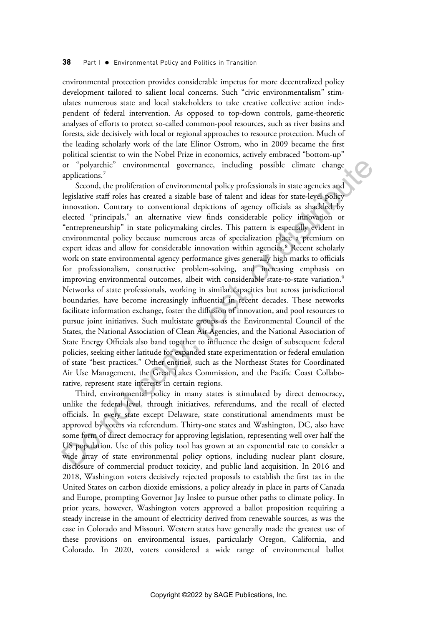environmental protection provides considerable impetus for more decentralized policy development tailored to salient local concerns. Such "civic environmentalism" stimulates numerous state and local stakeholders to take creative collective action independent of federal intervention. As opposed to top-down controls, game-theoretic analyses of efforts to protect so-called common-pool resources, such as river basins and forests, side decisively with local or regional approaches to resource protection. Much of the leading scholarly work of the late Elinor Ostrom, who in 2009 became the first political scientist to win the Nobel Prize in economics, actively embraced "bottom-up" or "polyarchic" environmental governance, including possible climate change applications.7

Second, the proliferation of environmental policy professionals in state agencies and legislative staff roles has created a sizable base of talent and ideas for state-level policy innovation. Contrary to conventional depictions of agency officials as shackled by elected "principals," an alternative view finds considerable policy innovation or "entrepreneurship" in state policymaking circles. This pattern is especially evident in environmental policy because numerous areas of specialization place a premium on expert ideas and allow for considerable innovation within agencies.<sup>8</sup> Recent scholarly work on state environmental agency performance gives generally high marks to officials for professionalism, constructive problem-solving, and increasing emphasis on improving environmental outcomes, albeit with considerable state-to-state variation.<sup>9</sup> Networks of state professionals, working in similar capacities but across jurisdictional boundaries, have become increasingly influential in recent decades. These networks facilitate information exchange, foster the diffusion of innovation, and pool resources to pursue joint initiatives. Such multistate groups as the Environmental Council of the States, the National Association of Clean Air Agencies, and the National Association of State Energy Officials also band together to influence the design of subsequent federal policies, seeking either latitude for expanded state experimentation or federal emulation of state "best practices." Other entities, such as the Northeast States for Coordinated Air Use Management, the Great Lakes Commission, and the Pacific Coast Collaborative, represent state interests in certain regions. or "polyethic" environmental governance, including possible climate change of "polyethocids)" Second the problem content of environmental policy professionals in state agents are also beginning to the professional and the

Third, environmental policy in many states is stimulated by direct democracy, unlike the federal level, through initiatives, referendums, and the recall of elected officials. In every state except Delaware, state constitutional amendments must be approved by voters via referendum. Thirty-one states and Washington, DC, also have some form of direct democracy for approving legislation, representing well over half the US population. Use of this policy tool has grown at an exponential rate to consider a wide array of state environmental policy options, including nuclear plant closure, disclosure of commercial product toxicity, and public land acquisition. In 2016 and 2018, Washington voters decisively rejected proposals to establish the first tax in the United States on carbon dioxide emissions, a policy already in place in parts of Canada and Europe, prompting Governor Jay Inslee to pursue other paths to climate policy. In prior years, however, Washington voters approved a ballot proposition requiring a steady increase in the amount of electricity derived from renewable sources, as was the case in Colorado and Missouri. Western states have generally made the greatest use of these provisions on environmental issues, particularly Oregon, California, and Colorado. In 2020, voters considered a wide range of environmental ballot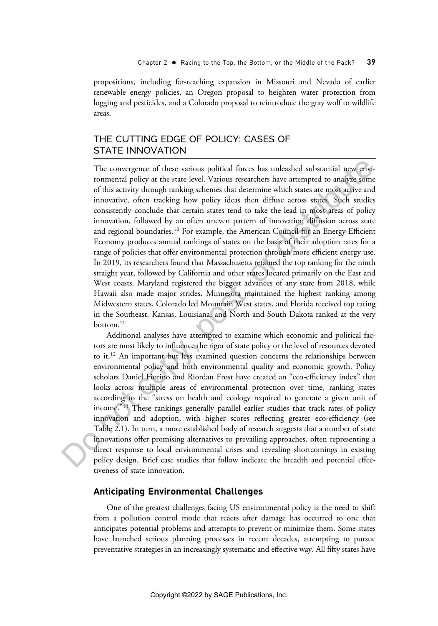propositions, including far-reaching expansion in Missouri and Nevada of earlier renewable energy policies, an Oregon proposal to heighten water protection from logging and pesticides, and a Colorado proposal to reintroduce the gray wolf to wildlife areas.

# THE CUTTING EDGE OF POLICY: CASES OF STATE INNOVATION

The convergence of these various political forces has unleashed substantial new environmental policy at the state level. Various researchers have attempted to analyze some of this activity through ranking schemes that determine which states are most active and innovative, often tracking how policy ideas then diffuse across states. Such studies consistently conclude that certain states tend to take the lead in most areas of policy innovation, followed by an often uneven pattern of innovation diffusion across state and regional boundaries.10 For example, the American Council for an Energy-Efficient Economy produces annual rankings of states on the basis of their adoption rates for a range of policies that offer environmental protection through more efficient energy use. In 2019, its researchers found that Massachusetts retained the top ranking for the ninth straight year, followed by California and other states located primarily on the East and West coasts. Maryland registered the biggest advances of any state from 2018, while Hawaii also made major strides. Minnesota maintained the highest ranking among Midwestern states, Colorado led Mountain West states, and Florida received top rating in the Southeast. Kansas, Louisiana, and North and South Dakota ranked at the very bottom.<sup>11</sup> The convergence of these various political forces has unleaded substantial new grot-<br>conventional policy at the such level. V-sions tosser-dress lowe atterpred to analogo smin<br>movies, definited and the such states are mod

Additional analyses have attempted to examine which economic and political factors are most likely to influence the rigor of state policy or the level of resources devoted to it.12 An important but less examined question concerns the relationships between environmental policy and both environmental quality and economic growth. Policy scholars Daniel Fiorino and Riordan Frost have created an "eco-efficiency index" that looks across multiple areas of environmental protection over time, ranking states according to the "stress on health and ecology required to generate a given unit of income."<sup>13</sup> These rankings generally parallel earlier studies that track rates of policy innovation and adoption, with higher scores reflecting greater eco-efficiency (see Table 2.1). In turn, a more established body of research suggests that a number of state innovations offer promising alternatives to prevailing approaches, often representing a direct response to local environmental crises and revealing shortcomings in existing policy design. Brief case studies that follow indicate the breadth and potential effectiveness of state innovation.

## Anticipating Environmental Challenges

One of the greatest challenges facing US environmental policy is the need to shift from a pollution control mode that reacts after damage has occurred to one that anticipates potential problems and attempts to prevent or minimize them. Some states have launched serious planning processes in recent decades, attempting to pursue preventative strategies in an increasingly systematic and effective way. All fifty states have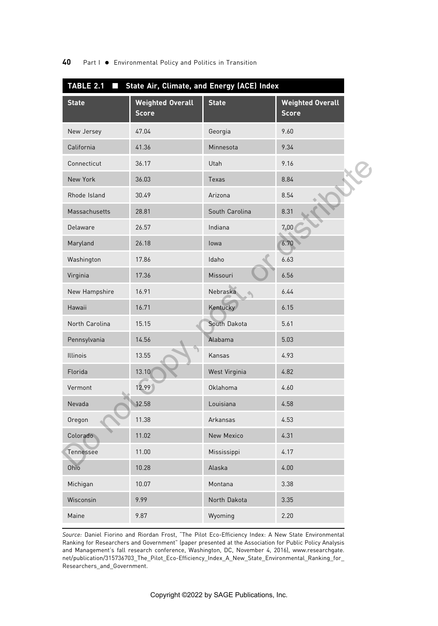| State Air, Climate, and Energy (ACE) Index<br>TABLE 2.1 |                                         |                |                                         |
|---------------------------------------------------------|-----------------------------------------|----------------|-----------------------------------------|
| <b>State</b>                                            | <b>Weighted Overall</b><br><b>Score</b> | <b>State</b>   | <b>Weighted Overall</b><br><b>Score</b> |
| New Jersey                                              | 47.04                                   | Georgia        | 9.60                                    |
| California                                              | 41.36                                   | Minnesota      | 9.34                                    |
| Connecticut                                             | 36.17                                   | Utah           | 9.16                                    |
| New York                                                | 36.03                                   | Texas          | 8.84                                    |
| Rhode Island                                            | 30.49                                   | Arizona        | 8.54                                    |
| Massachusetts                                           | 28.81                                   | South Carolina | 8.31                                    |
| Delaware                                                | 26.57                                   | Indiana        | 7.00                                    |
| Maryland                                                | 26.18                                   | lowa           | 6.70                                    |
| Washington                                              | 17.86                                   | Idaho          | 6.63                                    |
| Virginia                                                | 17.36                                   | Missouri       | 6.56                                    |
| New Hampshire                                           | 16.91                                   | Nebraska       | 6.44                                    |
| Hawaii                                                  | 16.71                                   | Kentucky       | 6.15                                    |
| North Carolina                                          | 15.15                                   | South Dakota   | 5.61                                    |
| Pennsylvania                                            | 14.56                                   | Alabama        | 5.03                                    |
| <b>Illinois</b>                                         | 13.55                                   | Kansas         | 4.93                                    |
| Florida                                                 | 13.10                                   | West Virginia  | 4.82                                    |
| Vermont                                                 | 12.99                                   | Oklahoma       | 4.60                                    |
| Nevada                                                  | 12.58                                   | Louisiana      | 4.58                                    |
| Oregon                                                  | 11.38                                   | Arkansas       | 4.53                                    |
| Colorado                                                | 11.02                                   | New Mexico     | 4.31                                    |
| Tennessee                                               | 11.00                                   | Mississippi    | 4.17                                    |
| Ohio                                                    | 10.28                                   | Alaska         | 4.00                                    |
| Michigan                                                | 10.07                                   | Montana        | 3.38                                    |
| Wisconsin                                               | 9.99                                    | North Dakota   | 3.35                                    |
| Maine                                                   | 9.87                                    | Wyoming        | 2.20                                    |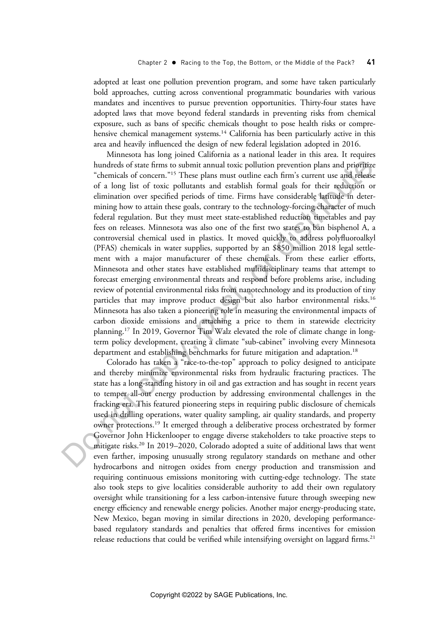adopted at least one pollution prevention program, and some have taken particularly bold approaches, cutting across conventional programmatic boundaries with various mandates and incentives to pursue prevention opportunities. Thirty-four states have adopted laws that move beyond federal standards in preventing risks from chemical exposure, such as bans of specific chemicals thought to pose health risks or comprehensive chemical management systems.<sup>14</sup> California has been particularly active in this area and heavily influenced the design of new federal legislation adopted in 2016.

Minnesota has long joined California as a national leader in this area. It requires hundreds of state firms to submit annual toxic pollution prevention plans and prioritize "chemicals of concern."<sup>15</sup> These plans must outline each firm's current use and release of a long list of toxic pollutants and establish formal goals for their reduction or elimination over specified periods of time. Firms have considerable latitude in determining how to attain these goals, contrary to the technology-forcing character of much federal regulation. But they must meet state-established reduction timetables and pay fees on releases. Minnesota was also one of the first two states to ban bisphenol A, a controversial chemical used in plastics. It moved quickly to address polyfluoroalkyl (PFAS) chemicals in water supplies, supported by an \$850 million 2018 legal settlement with a major manufacturer of these chemicals. From these earlier efforts, Minnesota and other states have established multidisciplinary teams that attempt to forecast emerging environmental threats and respond before problems arise, including review of potential environmental risks from nanotechnology and its production of tiny particles that may improve product design but also harbor environmental risks.16 Minnesota has also taken a pioneering role in measuring the environmental impacts of carbon dioxide emissions and attaching a price to them in statewide electricity planning.17 In 2019, Governor Tim Walz elevated the role of climate change in longterm policy development, creating a climate "sub-cabinet" involving every Minnesota department and establishing benchmarks for future mitigation and adaptation.18 hundred of state firms to submitte and usuite publical precention plates in depthising the control of a long kin of the comparison of a state of the different of a dimension of a state of the control galak for their uglin

Colorado has taken a "race-to-the-top" approach to policy designed to anticipate and thereby minimize environmental risks from hydraulic fracturing practices. The state has a long-standing history in oil and gas extraction and has sought in recent years to temper all-out energy production by addressing environmental challenges in the fracking era. This featured pioneering steps in requiring public disclosure of chemicals used in drilling operations, water quality sampling, air quality standards, and property owner protections.19 It emerged through a deliberative process orchestrated by former Governor John Hickenlooper to engage diverse stakeholders to take proactive steps to mitigate risks.20 In 2019–2020, Colorado adopted a suite of additional laws that went even farther, imposing unusually strong regulatory standards on methane and other hydrocarbons and nitrogen oxides from energy production and transmission and requiring continuous emissions monitoring with cutting-edge technology. The state also took steps to give localities considerable authority to add their own regulatory oversight while transitioning for a less carbon-intensive future through sweeping new energy efficiency and renewable energy policies. Another major energy-producing state, New Mexico, began moving in similar directions in 2020, developing performancebased regulatory standards and penalties that offered firms incentives for emission release reductions that could be verified while intensifying oversight on laggard firms.<sup>21</sup>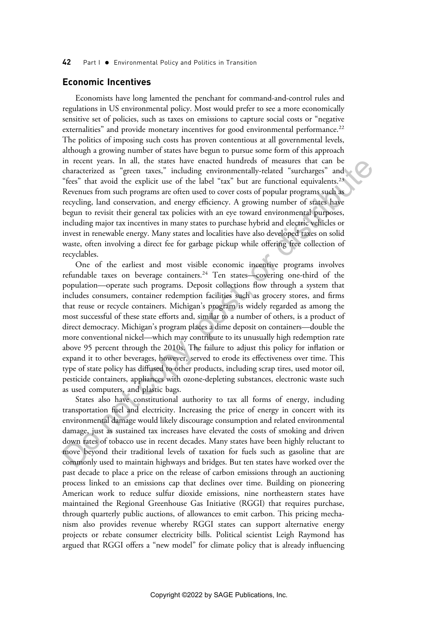## Economic Incentives

Economists have long lamented the penchant for command-and-control rules and regulations in US environmental policy. Most would prefer to see a more economically sensitive set of policies, such as taxes on emissions to capture social costs or "negative externalities" and provide monetary incentives for good environmental performance.<sup>22</sup> The politics of imposing such costs has proven contentious at all governmental levels, although a growing number of states have begun to pursue some form of this approach in recent years. In all, the states have enacted hundreds of measures that can be characterized as "green taxes," including environmentally-related "surcharges" and "fees" that avoid the explicit use of the label "tax" but are functional equivalents.<sup>23</sup> Revenues from such programs are often used to cover costs of popular programs such as recycling, land conservation, and energy efficiency. A growing number of states have begun to revisit their general tax policies with an eye toward environmental purposes, including major tax incentives in many states to purchase hybrid and electric vehicles or invest in renewable energy. Many states and localities have also developed taxes on solid waste, often involving a direct fee for garbage pickup while offering free collection of recyclables.

One of the earliest and most visible economic incentive programs involves refundable taxes on beverage containers.24 Ten states—covering one-third of the population—operate such programs. Deposit collections flow through a system that includes consumers, container redemption facilities such as grocery stores, and firms that reuse or recycle containers. Michigan's program is widely regarded as among the most successful of these state efforts and, similar to a number of others, is a product of direct democracy. Michigan's program places a dime deposit on containers—double the more conventional nickel—which may contribute to its unusually high redemption rate above 95 percent through the 2010s. The failure to adjust this policy for inflation or expand it to other beverages, however, served to erode its effectiveness over time. This type of state policy has diffused to other products, including scrap tires, used motor oil, pesticide containers, appliances with ozone-depleting substances, electronic waste such as used computers, and plastic bags.

States also have constitutional authority to tax all forms of energy, including transportation fuel and electricity. Increasing the price of energy in concert with its environmental damage would likely discourage consumption and related environmental damage, just as sustained tax increases have elevated the costs of smoking and driven down rates of tobacco use in recent decades. Many states have been highly reluctant to move beyond their traditional levels of taxation for fuels such as gasoline that are commonly used to maintain highways and bridges. But ten states have worked over the past decade to place a price on the release of carbon emissions through an auctioning process linked to an emissions cap that declines over time. Building on pioneering American work to reduce sulfur dioxide emissions, nine northeastern states have maintained the Regional Greenhouse Gas Initiative (RGGI) that requires purchase, through quarterly public auctions, of allowances to emit carbon. This pricing mechanism also provides revenue whereby RGGI states can support alternative energy projects or rebate consumer electricity bills. Political scientist Leigh Raymond has argued that RGGI offers a "new model" for climate policy that is already influencing in recent years. In all, the states have enacted bundered or meanses that can be<br>characterized as "green taxes," including environmentally-related "suchanges" and<br>"See" that avoid the explicit use of the label "axis" but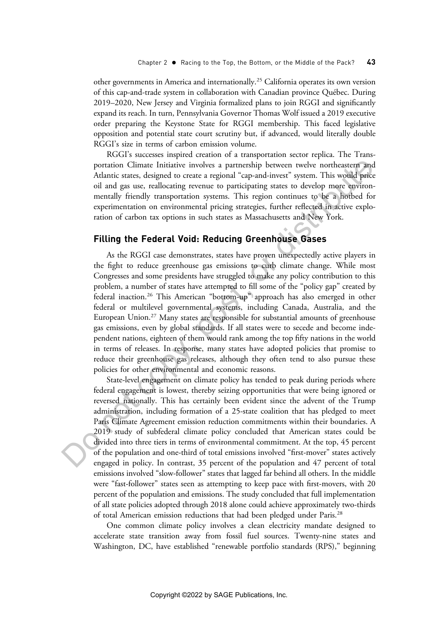other governments in America and internationally.25 California operates its own version of this cap-and-trade system in collaboration with Canadian province Québec. During 2019–2020, New Jersey and Virginia formalized plans to join RGGI and significantly expand its reach. In turn, Pennsylvania Governor Thomas Wolf issued a 2019 executive order preparing the Keystone State for RGGI membership. This faced legislative opposition and potential state court scrutiny but, if advanced, would literally double RGGI's size in terms of carbon emission volume.

RGGI's successes inspired creation of a transportation sector replica. The Transportation Climate Initiative involves a partnership between twelve northeastern and Atlantic states, designed to create a regional "cap-and-invest" system. This would price oil and gas use, reallocating revenue to participating states to develop more environmentally friendly transportation systems. This region continues to be a hotbed for experimentation on environmental pricing strategies, further reflected in active exploration of carbon tax options in such states as Massachusetts and New York.

## Filling the Federal Void: Reducing Greenhouse Gases

As the RGGI case demonstrates, states have proven unexpectedly active players in the fight to reduce greenhouse gas emissions to curb climate change. While most Congresses and some presidents have struggled to make any policy contribution to this problem, a number of states have attempted to fill some of the "policy gap" created by federal inaction.26 This American "bottom-up" approach has also emerged in other federal or multilevel governmental systems, including Canada, Australia, and the European Union. $27$  Many states are responsible for substantial amounts of greenhouse gas emissions, even by global standards. If all states were to secede and become independent nations, eighteen of them would rank among the top fifty nations in the world in terms of releases. In response, many states have adopted policies that promise to reduce their greenhouse gas releases, although they often tend to also pursue these policies for other environmental and economic reasons.

State-level engagement on climate policy has tended to peak during periods where federal engagement is lowest, thereby seizing opportunities that were being ignored or reversed nationally. This has certainly been evident since the advent of the Trump administration, including formation of a 25-state coalition that has pledged to meet Paris Climate Agreement emission reduction commitments within their boundaries. A 2019 study of subfederal climate policy concluded that American states could be divided into three tiers in terms of environmental commitment. At the top, 45 percent of the population and one-third of total emissions involved "first-mover" states actively engaged in policy. In contrast, 35 percent of the population and 47 percent of total emissions involved "slow-follower" states that lagged far behind all others. In the middle were "fast-follower" states seen as attempting to keep pace with first-movers, with 20 percent of the population and emissions. The study concluded that full implementation of all state policies adopted through 2018 alone could achieve approximately two-thirds of total American emission reductions that had been pledged under Paris.28 perturbute in the linit<br>and inclusive increase a perturbution component compared increased and a<br>particular cares, designed to crease a regional "cap-and-invest" system. This weight<br>person and any set sublication terms on

One common climate policy involves a clean electricity mandate designed to accelerate state transition away from fossil fuel sources. Twenty-nine states and Washington, DC, have established "renewable portfolio standards (RPS)," beginning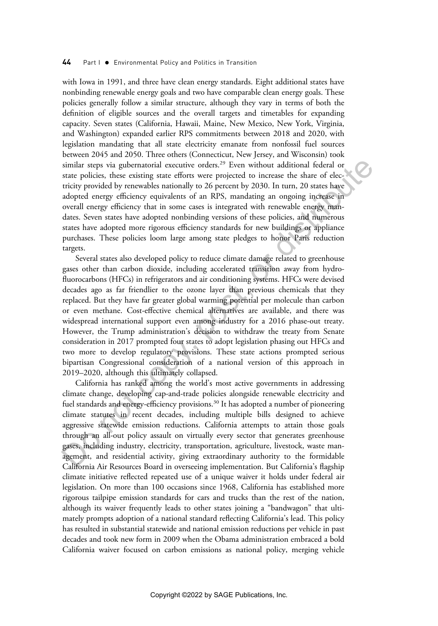with Iowa in 1991, and three have clean energy standards. Eight additional states have nonbinding renewable energy goals and two have comparable clean energy goals. These policies generally follow a similar structure, although they vary in terms of both the definition of eligible sources and the overall targets and timetables for expanding capacity. Seven states (California, Hawaii, Maine, New Mexico, New York, Virginia, and Washington) expanded earlier RPS commitments between 2018 and 2020, with legislation mandating that all state electricity emanate from nonfossil fuel sources between 2045 and 2050. Three others (Connecticut, New Jersey, and Wisconsin) took similar steps via gubernatorial executive orders.<sup>29</sup> Even without additional federal or state policies, these existing state efforts were projected to increase the share of electricity provided by renewables nationally to 26 percent by 2030. In turn, 20 states have adopted energy efficiency equivalents of an RPS, mandating an ongoing increase in overall energy efficiency that in some cases is integrated with renewable energy mandates. Seven states have adopted nonbinding versions of these policies, and numerous states have adopted more rigorous efficiency standards for new buildings or appliance purchases. These policies loom large among state pledges to honor Paris reduction targets.

Several states also developed policy to reduce climate damage related to greenhouse gases other than carbon dioxide, including accelerated transition away from hydrofluorocarbons (HFCs) in refrigerators and air conditioning systems. HFCs were devised decades ago as far friendlier to the ozone layer than previous chemicals that they replaced. But they have far greater global warming potential per molecule than carbon or even methane. Cost-effective chemical alternatives are available, and there was widespread international support even among industry for a 2016 phase-out treaty. However, the Trump administration's decision to withdraw the treaty from Senate consideration in 2017 prompted four states to adopt legislation phasing out HFCs and two more to develop regulatory provisions. These state actions prompted serious bipartisan Congressional consideration of a national version of this approach in 2019–2020, although this ultimately collapsed.

California has ranked among the world's most active governments in addressing climate change, developing cap-and-trade policies alongside renewable electricity and fuel standards and energy-efficiency provisions.<sup>30</sup> It has adopted a number of pioneering climate statutes in recent decades, including multiple bills designed to achieve aggressive statewide emission reductions. California attempts to attain those goals through an all-out policy assault on virtually every sector that generates greenhouse gases, including industry, electricity, transportation, agriculture, livestock, waste management, and residential activity, giving extraordinary authority to the formidable California Air Resources Board in overseeing implementation. But California's flagship climate initiative reflected repeated use of a unique waiver it holds under federal air legislation. On more than 100 occasions since 1968, California has established more rigorous tailpipe emission standards for cars and trucks than the rest of the nation, although its waiver frequently leads to other states joining a "bandwagon" that ultimately prompts adoption of a national standard reflecting California's lead. This policy has resulted in substantial statewide and national emission reductions per vehicle in past decades and took new form in 2009 when the Obama administration embraced a bold California waiver focused on carbon emissions as national policy, merging vehicle similar exaps via guestmatorial executive orders;<sup>32</sup> by sev without additional feelectros increases the state policies, these existing state efforts were projected to increase the share of electrosic and projected to ren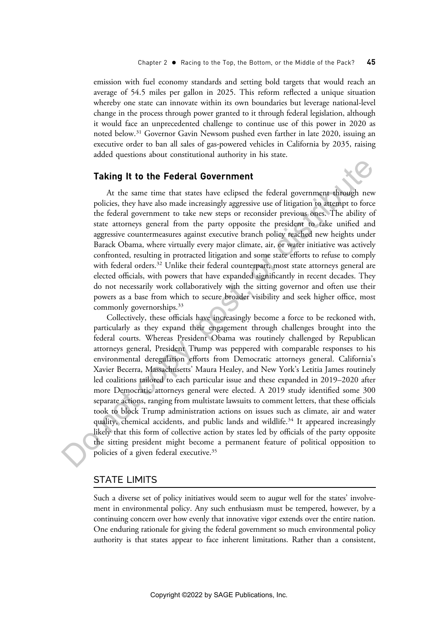emission with fuel economy standards and setting bold targets that would reach an average of 54.5 miles per gallon in 2025. This reform reflected a unique situation whereby one state can innovate within its own boundaries but leverage national-level change in the process through power granted to it through federal legislation, although it would face an unprecedented challenge to continue use of this power in 2020 as noted below.31 Governor Gavin Newsom pushed even farther in late 2020, issuing an executive order to ban all sales of gas-powered vehicles in California by 2035, raising added questions about constitutional authority in his state.

## Taking It to the Federal Government

At the same time that states have eclipsed the federal government through new policies, they have also made increasingly aggressive use of litigation to attempt to force the federal government to take new steps or reconsider previous ones. The ability of state attorneys general from the party opposite the president to take unified and aggressive countermeasures against executive branch policy reached new heights under Barack Obama, where virtually every major climate, air, or water initiative was actively confronted, resulting in protracted litigation and some state efforts to refuse to comply with federal orders.<sup>32</sup> Unlike their federal counterpart, most state attorneys general are elected officials, with powers that have expanded significantly in recent decades. They do not necessarily work collaboratively with the sitting governor and often use their powers as a base from which to secure broader visibility and seek higher office, most commonly governorships.<sup>33</sup>

Collectively, these officials have increasingly become a force to be reckoned with, particularly as they expand their engagement through challenges brought into the federal courts. Whereas President Obama was routinely challenged by Republican attorneys general, President Trump was peppered with comparable responses to his environmental deregulation efforts from Democratic attorneys general. California's Xavier Becerra, Massachusetts' Maura Healey, and New York's Letitia James routinely led coalitions tailored to each particular issue and these expanded in 2019–2020 after more Democratic attorneys general were elected. A 2019 study identified some 300 separate actions, ranging from multistate lawsuits to comment letters, that these officials took to block Trump administration actions on issues such as climate, air and water quality, chemical accidents, and public lands and wildlife.<sup>34</sup> It appeared increasingly likely that this form of collective action by states led by officials of the party opposite the sitting president might become a permanent feature of political opposition to policies of a given federal executive.35 Taking It to the Federal Government<br>
At the same time that states have ediped the federal government chosen<br>
policies, they have also medicines<br>algo aggressive use of lingition in a function to the federal government to c

## STATE LIMITS

Such a diverse set of policy initiatives would seem to augur well for the states' involvement in environmental policy. Any such enthusiasm must be tempered, however, by a continuing concern over how evenly that innovative vigor extends over the entire nation. One enduring rationale for giving the federal government so much environmental policy authority is that states appear to face inherent limitations. Rather than a consistent,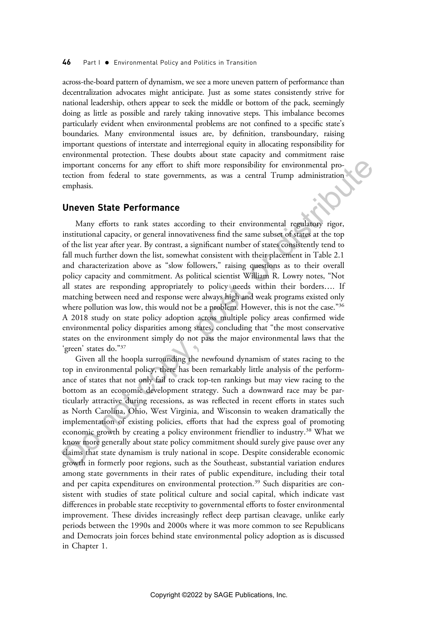across-the-board pattern of dynamism, we see a more uneven pattern of performance than decentralization advocates might anticipate. Just as some states consistently strive for national leadership, others appear to seek the middle or bottom of the pack, seemingly doing as little as possible and rarely taking innovative steps. This imbalance becomes particularly evident when environmental problems are not confined to a specific state's boundaries. Many environmental issues are, by definition, transboundary, raising important questions of interstate and interregional equity in allocating responsibility for environmental protection. These doubts about state capacity and commitment raise important concerns for any effort to shift more responsibility for environmental protection from federal to state governments, as was a central Trump administration emphasis.

## Uneven State Performance

Many efforts to rank states according to their environmental regulatory rigor, institutional capacity, or general innovativeness find the same subset of states at the top of the list year after year. By contrast, a significant number of states consistently tend to fall much further down the list, somewhat consistent with their placement in Table 2.1 and characterization above as "slow followers," raising questions as to their overall policy capacity and commitment. As political scientist William R. Lowry notes, "Not all states are responding appropriately to policy needs within their borders…. If matching between need and response were always high and weak programs existed only where pollution was low, this would not be a problem. However, this is not the case."<sup>36</sup> A 2018 study on state policy adoption across multiple policy areas confirmed wide environmental policy disparities among states, concluding that "the most conservative states on the environment simply do not pass the major environmental laws that the 'green' states do."37

Given all the hoopla surrounding the newfound dynamism of states racing to the top in environmental policy, there has been remarkably little analysis of the performance of states that not only fail to crack top-ten rankings but may view racing to the bottom as an economic development strategy. Such a downward race may be particularly attractive during recessions, as was reflected in recent efforts in states such as North Carolina, Ohio, West Virginia, and Wisconsin to weaken dramatically the implementation of existing policies, efforts that had the express goal of promoting economic growth by creating a policy environment friendlier to industry.<sup>38</sup> What we know more generally about state policy commitment should surely give pause over any claims that state dynamism is truly national in scope. Despite considerable economic growth in formerly poor regions, such as the Southeast, substantial variation endures among state governments in their rates of public expenditure, including their total and per capita expenditures on environmental protection.<sup>39</sup> Such disparities are consistent with studies of state political culture and social capital, which indicate vast differences in probable state receptivity to governmental efforts to foster environmental improvement. These divides increasingly reflect deep partisan cleavage, unlike early periods between the 1990s and 2000s where it was more common to see Republicans and Democrats join forces behind state environmental policy adoption as is discussed in Chapter 1. important concerns for any effort to shift more responsibility for environmental pro-<br>meshasi. The vector from heden to state governments, as was a central Trump administration<br>emphasis. Uneverto State Performance accordi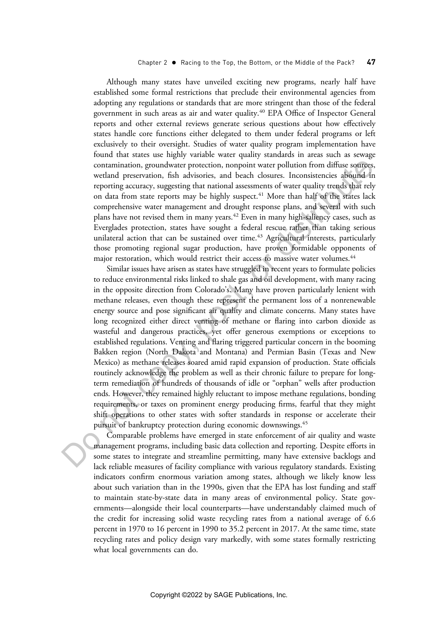Although many states have unveiled exciting new programs, nearly half have established some formal restrictions that preclude their environmental agencies from adopting any regulations or standards that are more stringent than those of the federal government in such areas as air and water quality.<sup>40</sup> EPA Office of Inspector General reports and other external reviews generate serious questions about how effectively states handle core functions either delegated to them under federal programs or left exclusively to their oversight. Studies of water quality program implementation have found that states use highly variable water quality standards in areas such as sewage contamination, groundwater protection, nonpoint water pollution from diffuse sources, wetland preservation, fish advisories, and beach closures. Inconsistencies abound in reporting accuracy, suggesting that national assessments of water quality trends that rely on data from state reports may be highly suspect.<sup>41</sup> More than half of the states lack comprehensive water management and drought response plans, and several with such plans have not revised them in many years.<sup>42</sup> Even in many high-saliency cases, such as Everglades protection, states have sought a federal rescue rather than taking serious unilateral action that can be sustained over time.<sup>43</sup> Agricultural interests, particularly those promoting regional sugar production, have proven formidable opponents of major restoration, which would restrict their access to massive water volumes.<sup>44</sup>

Similar issues have arisen as states have struggled in recent years to formulate policies to reduce environmental risks linked to shale gas and oil development, with many racing in the opposite direction from Colorado's. Many have proven particularly lenient with methane releases, even though these represent the permanent loss of a nonrenewable energy source and pose significant air quality and climate concerns. Many states have long recognized either direct venting of methane or flaring into carbon dioxide as wasteful and dangerous practices, yet offer generous exemptions or exceptions to established regulations. Venting and flaring triggered particular concern in the booming Bakken region (North Dakota and Montana) and Permian Basin (Texas and New Mexico) as methane releases soared amid rapid expansion of production. State officials routinely acknowledge the problem as well as their chronic failure to prepare for longterm remediation of hundreds of thousands of idle or "orphan" wells after production ends. However, they remained highly reluctant to impose methane regulations, bonding requirements, or taxes on prominent energy producing firms, fearful that they might shift operations to other states with softer standards in response or accelerate their pursuit of bankruptcy protection during economic downswings.45 contrained not compressive protection, no<br>equivalent properties a diffuse sources and properties and properties are<br>required as experimental associates, and beach closures. Inconsistencies also<br>and  $\alpha$  or data from state

Comparable problems have emerged in state enforcement of air quality and waste management programs, including basic data collection and reporting. Despite efforts in some states to integrate and streamline permitting, many have extensive backlogs and lack reliable measures of facility compliance with various regulatory standards. Existing indicators confirm enormous variation among states, although we likely know less about such variation than in the 1990s, given that the EPA has lost funding and staff to maintain state-by-state data in many areas of environmental policy. State governments—alongside their local counterparts—have understandably claimed much of the credit for increasing solid waste recycling rates from a national average of 6.6 percent in 1970 to 16 percent in 1990 to 35.2 percent in 2017. At the same time, state recycling rates and policy design vary markedly, with some states formally restricting what local governments can do.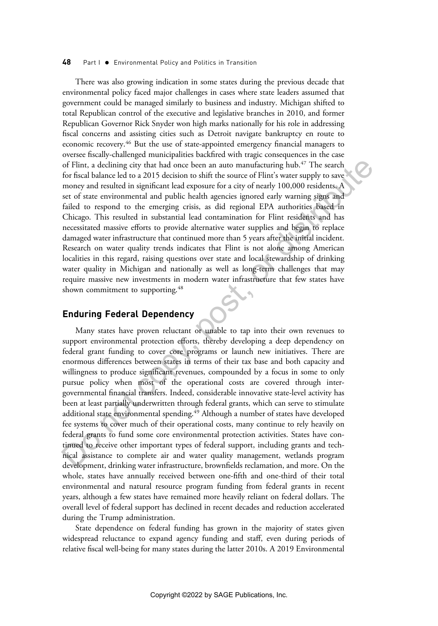There was also growing indication in some states during the previous decade that environmental policy faced major challenges in cases where state leaders assumed that government could be managed similarly to business and industry. Michigan shifted to total Republican control of the executive and legislative branches in 2010, and former Republican Governor Rick Snyder won high marks nationally for his role in addressing fiscal concerns and assisting cities such as Detroit navigate bankruptcy en route to economic recovery.46 But the use of state-appointed emergency financial managers to oversee fiscally-challenged municipalities backfired with tragic consequences in the case of Flint, a declining city that had once been an auto manufacturing hub.<sup>47</sup> The search for fiscal balance led to a 2015 decision to shift the source of Flint's water supply to save money and resulted in significant lead exposure for a city of nearly 100,000 residents. A set of state environmental and public health agencies ignored early warning signs and failed to respond to the emerging crisis, as did regional EPA authorities based in Chicago. This resulted in substantial lead contamination for Flint residents and has necessitated massive efforts to provide alternative water supplies and begin to replace damaged water infrastructure that continued more than 5 years after the initial incident. Research on water quality trends indicates that Flint is not alone among American localities in this regard, raising questions over state and local stewardship of drinking water quality in Michigan and nationally as well as long-term challenges that may require massive new investments in modern water infrastructure that few states have shown commitment to supporting.<sup>48</sup>

## Enduring Federal Dependency

Many states have proven reluctant or unable to tap into their own revenues to support environmental protection efforts, thereby developing a deep dependency on federal grant funding to cover core programs or launch new initiatives. There are enormous differences between states in terms of their tax base and both capacity and willingness to produce significant revenues, compounded by a focus in some to only pursue policy when most of the operational costs are covered through intergovernmental financial transfers. Indeed, considerable innovative state-level activity has been at least partially underwritten through federal grants, which can serve to stimulate additional state environmental spending.<sup>49</sup> Although a number of states have developed fee systems to cover much of their operational costs, many continue to rely heavily on federal grants to fund some core environmental protection activities. States have continued to receive other important types of federal support, including grants and technical assistance to complete air and water quality management, wetlands program development, drinking water infrastructure, brownfields reclamation, and more. On the whole, states have annually received between one-fifth and one-third of their total environmental and natural resource program funding from federal grants in recent years, although a few states have remained more heavily reliant on federal dollars. The overall level of federal support has declined in recent decades and reduction accelerated during the Trump administration. of Flint, a declining city that hand one learn at auto maniferating buble." The search one for first, and the most proper publication in the copy of results of the search of the copy of results of a capacitant leage to th

State dependence on federal funding has grown in the majority of states given widespread reluctance to expand agency funding and staff, even during periods of relative fiscal well-being for many states during the latter 2010s. A 2019 Environmental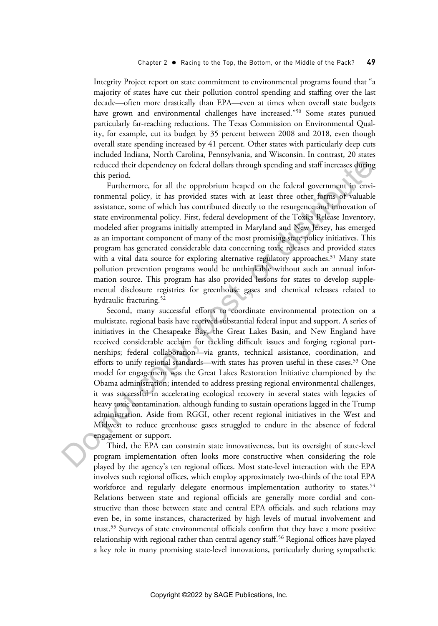Integrity Project report on state commitment to environmental programs found that "a majority of states have cut their pollution control spending and staffing over the last decade—often more drastically than EPA—even at times when overall state budgets have grown and environmental challenges have increased."<sup>50</sup> Some states pursued particularly far-reaching reductions. The Texas Commission on Environmental Quality, for example, cut its budget by 35 percent between 2008 and 2018, even though overall state spending increased by 41 percent. Other states with particularly deep cuts included Indiana, North Carolina, Pennsylvania, and Wisconsin. In contrast, 20 states reduced their dependency on federal dollars through spending and staff increases during this period.

Furthermore, for all the opprobrium heaped on the federal government in environmental policy, it has provided states with at least three other forms of valuable assistance, some of which has contributed directly to the resurgence and innovation of state environmental policy. First, federal development of the Toxics Release Inventory, modeled after programs initially attempted in Maryland and New Jersey, has emerged as an important component of many of the most promising state policy initiatives. This program has generated considerable data concerning toxic releases and provided states with a vital data source for exploring alternative regulatory approaches.<sup>51</sup> Many state pollution prevention programs would be unthinkable without such an annual information source. This program has also provided lessons for states to develop supplemental disclosure registries for greenhouse gases and chemical releases related to hydraulic fracturing.<sup>52</sup>

Second, many successful efforts to coordinate environmental protection on a multistate, regional basis have received substantial federal input and support. A series of initiatives in the Chesapeake Bay, the Great Lakes Basin, and New England have received considerable acclaim for tackling difficult issues and forging regional partnerships; federal collaboration—via grants, technical assistance, coordination, and efforts to unify regional standards—with states has proven useful in these cases.<sup>53</sup> One model for engagement was the Great Lakes Restoration Initiative championed by the Obama administration; intended to address pressing regional environmental challenges, it was successful in accelerating ecological recovery in several states with legacies of heavy toxic contamination, although funding to sustain operations lagged in the Trump administration. Aside from RGGI, other recent regional initiatives in the West and Midwest to reduce greenhouse gases struggled to endure in the absence of federal engagement or support. reduced their dependency on federal dollars through spending and staff increases diffigure in the form<br>lemons, for all the opprobunith heapted on the foletal government<br>in the method and the copy of the dependent on the f

Third, the EPA can constrain state innovativeness, but its oversight of state-level program implementation often looks more constructive when considering the role played by the agency's ten regional offices. Most state-level interaction with the EPA involves such regional offices, which employ approximately two-thirds of the total EPA workforce and regularly delegate enormous implementation authority to states.<sup>54</sup> Relations between state and regional officials are generally more cordial and constructive than those between state and central EPA officials, and such relations may even be, in some instances, characterized by high levels of mutual involvement and trust.55 Surveys of state environmental officials confirm that they have a more positive relationship with regional rather than central agency staff. <sup>56</sup> Regional offices have played a key role in many promising state-level innovations, particularly during sympathetic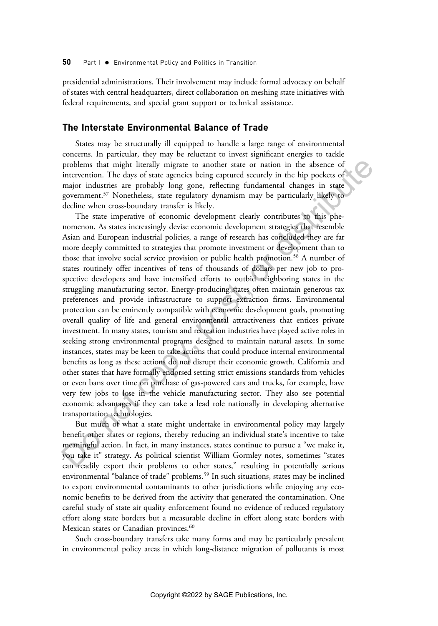presidential administrations. Their involvement may include formal advocacy on behalf of states with central headquarters, direct collaboration on meshing state initiatives with federal requirements, and special grant support or technical assistance.

## The Interstate Environmental Balance of Trade

States may be structurally ill equipped to handle a large range of environmental concerns. In particular, they may be reluctant to invest significant energies to tackle problems that might literally migrate to another state or nation in the absence of intervention. The days of state agencies being captured securely in the hip pockets of major industries are probably long gone, reflecting fundamental changes in state government.57 Nonetheless, state regulatory dynamism may be particularly likely to decline when cross-boundary transfer is likely.

The state imperative of economic development clearly contributes to this phenomenon. As states increasingly devise economic development strategies that resemble Asian and European industrial policies, a range of research has concluded they are far more deeply committed to strategies that promote investment or development than to those that involve social service provision or public health promotion.58 A number of states routinely offer incentives of tens of thousands of dollars per new job to prospective developers and have intensified efforts to outbid neighboring states in the struggling manufacturing sector. Energy-producing states often maintain generous tax preferences and provide infrastructure to support extraction firms. Environmental protection can be eminently compatible with economic development goals, promoting overall quality of life and general environmental attractiveness that entices private investment. In many states, tourism and recreation industries have played active roles in seeking strong environmental programs designed to maintain natural assets. In some instances, states may be keen to take actions that could produce internal environmental benefits as long as these actions do not disrupt their economic growth. California and other states that have formally endorsed setting strict emissions standards from vehicles or even bans over time on purchase of gas-powered cars and trucks, for example, have very few jobs to lose in the vehicle manufacturing sector. They also see potential economic advantages if they can take a lead role nationally in developing alternative transportation technologies. problems that might litterally migrate to another state or nation in the absence of public increases of major inductries are probably long goos, redecting fundamental damage in a such approximation of the production gener

But much of what a state might undertake in environmental policy may largely benefit other states or regions, thereby reducing an individual state's incentive to take meaningful action. In fact, in many instances, states continue to pursue a "we make it, you take it" strategy. As political scientist William Gormley notes, sometimes "states can readily export their problems to other states," resulting in potentially serious environmental "balance of trade" problems.<sup>59</sup> In such situations, states may be inclined to export environmental contaminants to other jurisdictions while enjoying any economic benefits to be derived from the activity that generated the contamination. One careful study of state air quality enforcement found no evidence of reduced regulatory effort along state borders but a measurable decline in effort along state borders with Mexican states or Canadian provinces.<sup>60</sup>

Such cross-boundary transfers take many forms and may be particularly prevalent in environmental policy areas in which long-distance migration of pollutants is most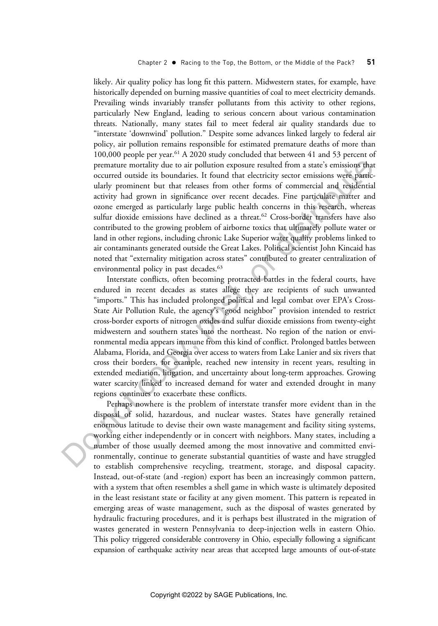likely. Air quality policy has long fit this pattern. Midwestern states, for example, have historically depended on burning massive quantities of coal to meet electricity demands. Prevailing winds invariably transfer pollutants from this activity to other regions, particularly New England, leading to serious concern about various contamination threats. Nationally, many states fail to meet federal air quality standards due to "interstate 'downwind' pollution." Despite some advances linked largely to federal air policy, air pollution remains responsible for estimated premature deaths of more than 100,000 people per year.61 A 2020 study concluded that between 41 and 53 percent of premature mortality due to air pollution exposure resulted from a state's emissions that occurred outside its boundaries. It found that electricity sector emissions were particularly prominent but that releases from other forms of commercial and residential activity had grown in significance over recent decades. Fine particulate matter and ozone emerged as particularly large public health concerns in this research, whereas sulfur dioxide emissions have declined as a threat.<sup>62</sup> Cross-border transfers have also contributed to the growing problem of airborne toxics that ultimately pollute water or land in other regions, including chronic Lake Superior water quality problems linked to air contaminants generated outside the Great Lakes. Political scientist John Kincaid has noted that "externality mitigation across states" contributed to greater centralization of environmental policy in past decades.<sup>63</sup>

Interstate conflicts, often becoming protracted battles in the federal courts, have endured in recent decades as states allege they are recipients of such unwanted "imports." This has included prolonged political and legal combat over EPA's Cross-State Air Pollution Rule, the agency's "good neighbor" provision intended to restrict cross-border exports of nitrogen oxides and sulfur dioxide emissions from twenty-eight midwestern and southern states into the northeast. No region of the nation or environmental media appears immune from this kind of conflict. Prolonged battles between Alabama, Florida, and Georgia over access to waters from Lake Lanier and six rivers that cross their borders, for example, reached new intensity in recent years, resulting in extended mediation, litigation, and uncertainty about long-term approaches. Growing water scarcity linked to increased demand for water and extended drought in many regions continues to exacerbate these conflicts.

Perhaps nowhere is the problem of interstate transfer more evident than in the disposal of solid, hazardous, and nuclear wastes. States have generally retained enormous latitude to devise their own waste management and facility siting systems, working either independently or in concert with neighbors. Many states, including a number of those usually deemed among the most innovative and committed environmentally, continue to generate substantial quantities of waste and have struggled to establish comprehensive recycling, treatment, storage, and disposal capacity. Instead, out-of-state (and -region) export has been an increasingly common pattern, with a system that often resembles a shell game in which waste is ultimately deposited in the least resistant state or facility at any given moment. This pattern is repeated in emerging areas of waste management, such as the disposal of wastes generated by hydraulic fracturing procedures, and it is perhaps best illustrated in the migration of wastes generated in western Pennsylvania to deep-injection wells in eastern Ohio. This policy triggered considerable controversy in Ohio, especially following a significant expansion of earthquake activity near areas that accepted large amounts of out-of-state premutate more<br>that is boundaries. It from that electricity sector emissions were<br>sparted outsity that grown in significance over term decades. Fine particulate in<br>the solutive public activity phase grown on the forest fr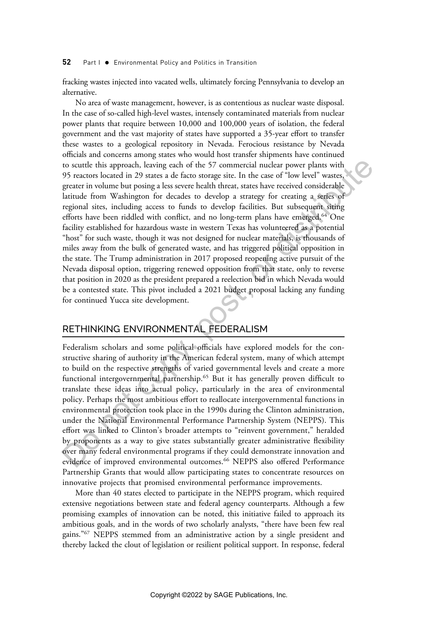fracking wastes injected into vacated wells, ultimately forcing Pennsylvania to develop an alternative.

No area of waste management, however, is as contentious as nuclear waste disposal. In the case of so-called high-level wastes, intensely contaminated materials from nuclear power plants that require between 10,000 and 100,000 years of isolation, the federal government and the vast majority of states have supported a 35-year effort to transfer these wastes to a geological repository in Nevada. Ferocious resistance by Nevada officials and concerns among states who would host transfer shipments have continued to scuttle this approach, leaving each of the 57 commercial nuclear power plants with 95 reactors located in 29 states a de facto storage site. In the case of "low level" wastes, greater in volume but posing a less severe health threat, states have received considerable latitude from Washington for decades to develop a strategy for creating a series of regional sites, including access to funds to develop facilities. But subsequent siting efforts have been riddled with conflict, and no long-term plans have emerged.<sup>64</sup> One facility established for hazardous waste in western Texas has volunteered as a potential "host" for such waste, though it was not designed for nuclear materials, is thousands of miles away from the bulk of generated waste, and has triggered political opposition in the state. The Trump administration in 2017 proposed reopening active pursuit of the Nevada disposal option, triggering renewed opposition from that state, only to reverse that position in 2020 as the president prepared a reelection bid in which Nevada would be a contested state. This pivot included a 2021 budget proposal lacking any funding for continued Yucca site development. to scutte this approach, leaving exchor for the 57 connuctrial nuclear power plane with the same of the same of the same of the same of the same involune buy position bonds and the most be seen to be started to the start

## RETHINKING ENVIRONMENTAL FEDERALISM

Federalism scholars and some political officials have explored models for the constructive sharing of authority in the American federal system, many of which attempt to build on the respective strengths of varied governmental levels and create a more functional intergovernmental partnership.<sup>65</sup> But it has generally proven difficult to translate these ideas into actual policy, particularly in the area of environmental policy. Perhaps the most ambitious effort to reallocate intergovernmental functions in environmental protection took place in the 1990s during the Clinton administration, under the National Environmental Performance Partnership System (NEPPS). This effort was linked to Clinton's broader attempts to "reinvent government," heralded by proponents as a way to give states substantially greater administrative flexibility over many federal environmental programs if they could demonstrate innovation and evidence of improved environmental outcomes.<sup>66</sup> NEPPS also offered Performance Partnership Grants that would allow participating states to concentrate resources on innovative projects that promised environmental performance improvements.

More than 40 states elected to participate in the NEPPS program, which required extensive negotiations between state and federal agency counterparts. Although a few promising examples of innovation can be noted, this initiative failed to approach its ambitious goals, and in the words of two scholarly analysts, "there have been few real gains."<sup>67</sup> NEPPS stemmed from an administrative action by a single president and thereby lacked the clout of legislation or resilient political support. In response, federal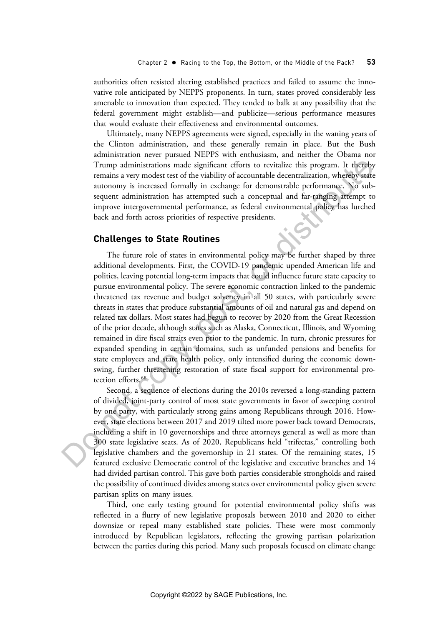authorities often resisted altering established practices and failed to assume the innovative role anticipated by NEPPS proponents. In turn, states proved considerably less amenable to innovation than expected. They tended to balk at any possibility that the federal government might establish—and publicize—serious performance measures that would evaluate their effectiveness and environmental outcomes.

Ultimately, many NEPPS agreements were signed, especially in the waning years of the Clinton administration, and these generally remain in place. But the Bush administration never pursued NEPPS with enthusiasm, and neither the Obama nor Trump administrations made significant efforts to revitalize this program. It thereby remains a very modest test of the viability of accountable decentralization, whereby state autonomy is increased formally in exchange for demonstrable performance. No subsequent administration has attempted such a conceptual and far-ranging attempt to improve intergovernmental performance, as federal environmental policy has lurched back and forth across priorities of respective presidents.

## Challenges to State Routines

The future role of states in environmental policy may be further shaped by three additional developments. First, the COVID-19 pandemic upended American life and politics, leaving potential long-term impacts that could influence future state capacity to pursue environmental policy. The severe economic contraction linked to the pandemic threatened tax revenue and budget solvency in all 50 states, with particularly severe threats in states that produce substantial amounts of oil and natural gas and depend on related tax dollars. Most states had begun to recover by 2020 from the Great Recession of the prior decade, although states such as Alaska, Connecticut, Illinois, and Wyoming remained in dire fiscal straits even prior to the pandemic. In turn, chronic pressures for expanded spending in certain domains, such as unfunded pensions and benefits for state employees and state health policy, only intensified during the economic downswing, further threatening restoration of state fiscal support for environmental protection efforts.68 Trump administration made significant efforts or evialize this repeatment is increased to mathemory is increased formally in exclude the equivariants, the dety-state superconverted in stribute of the administration has st

Second, a sequence of elections during the 2010s reversed a long-standing pattern of divided, joint-party control of most state governments in favor of sweeping control by one party, with particularly strong gains among Republicans through 2016. However, state elections between 2017 and 2019 tilted more power back toward Democrats, including a shift in 10 governorships and three attorneys general as well as more than 300 state legislative seats. As of 2020, Republicans held "trifectas," controlling both legislative chambers and the governorship in 21 states. Of the remaining states, 15 featured exclusive Democratic control of the legislative and executive branches and 14 had divided partisan control. This gave both parties considerable strongholds and raised the possibility of continued divides among states over environmental policy given severe partisan splits on many issues.

Third, one early testing ground for potential environmental policy shifts was reflected in a flurry of new legislative proposals between 2010 and 2020 to either downsize or repeal many established state policies. These were most commonly introduced by Republican legislators, reflecting the growing partisan polarization between the parties during this period. Many such proposals focused on climate change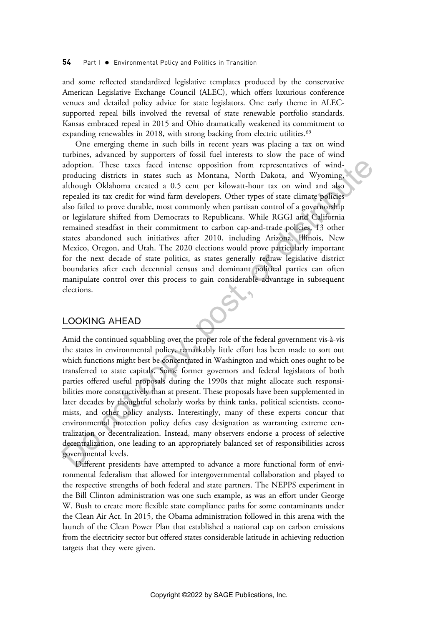and some reflected standardized legislative templates produced by the conservative American Legislative Exchange Council (ALEC), which offers luxurious conference venues and detailed policy advice for state legislators. One early theme in ALECsupported repeal bills involved the reversal of state renewable portfolio standards. Kansas embraced repeal in 2015 and Ohio dramatically weakened its commitment to expanding renewables in 2018, with strong backing from electric utilities.<sup>69</sup>

One emerging theme in such bills in recent years was placing a tax on wind turbines, advanced by supporters of fossil fuel interests to slow the pace of wind adoption. These taxes faced intense opposition from representatives of windproducing districts in states such as Montana, North Dakota, and Wyoming, although Oklahoma created a 0.5 cent per kilowatt-hour tax on wind and also repealed its tax credit for wind farm developers. Other types of state climate policies also failed to prove durable, most commonly when partisan control of a governorship or legislature shifted from Democrats to Republicans. While RGGI and California remained steadfast in their commitment to carbon cap-and-trade policies, 13 other states abandoned such initiatives after 2010, including Arizona, Illinois, New Mexico, Oregon, and Utah. The 2020 elections would prove particularly important for the next decade of state politics, as states generally redraw legislative district boundaries after each decennial census and dominant political parties can often manipulate control over this process to gain considerable advantage in subsequent elections. adoption. These taxes in actual distributed of wind and shown that all allow the distributed of the state function is a small and the state of the state and a Society are required as a specifical scale of the state of the

## LOOKING AHEAD

Amid the continued squabbling over the proper role of the federal government vis-à-vis the states in environmental policy, remarkably little effort has been made to sort out which functions might best be concentrated in Washington and which ones ought to be transferred to state capitals. Some former governors and federal legislators of both parties offered useful proposals during the 1990s that might allocate such responsibilities more constructively than at present. These proposals have been supplemented in later decades by thoughtful scholarly works by think tanks, political scientists, economists, and other policy analysts. Interestingly, many of these experts concur that environmental protection policy defies easy designation as warranting extreme centralization or decentralization. Instead, many observers endorse a process of selective decentralization, one leading to an appropriately balanced set of responsibilities across governmental levels.

Different presidents have attempted to advance a more functional form of environmental federalism that allowed for intergovernmental collaboration and played to the respective strengths of both federal and state partners. The NEPPS experiment in the Bill Clinton administration was one such example, as was an effort under George W. Bush to create more flexible state compliance paths for some contaminants under the Clean Air Act. In 2015, the Obama administration followed in this arena with the launch of the Clean Power Plan that established a national cap on carbon emissions from the electricity sector but offered states considerable latitude in achieving reduction targets that they were given.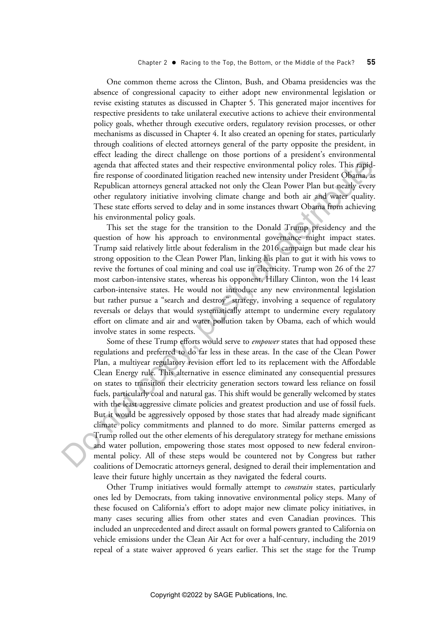One common theme across the Clinton, Bush, and Obama presidencies was the absence of congressional capacity to either adopt new environmental legislation or revise existing statutes as discussed in Chapter 5. This generated major incentives for respective presidents to take unilateral executive actions to achieve their environmental policy goals, whether through executive orders, regulatory revision processes, or other mechanisms as discussed in Chapter 4. It also created an opening for states, particularly through coalitions of elected attorneys general of the party opposite the president, in effect leading the direct challenge on those portions of a president's environmental agenda that affected states and their respective environmental policy roles. This rapidfire response of coordinated litigation reached new intensity under President Obama, as Republican attorneys general attacked not only the Clean Power Plan but nearly every other regulatory initiative involving climate change and both air and water quality. These state efforts served to delay and in some instances thwart Obama from achieving his environmental policy goals.

This set the stage for the transition to the Donald Trump presidency and the question of how his approach to environmental governance might impact states. Trump said relatively little about federalism in the 2016 campaign but made clear his strong opposition to the Clean Power Plan, linking his plan to gut it with his vows to revive the fortunes of coal mining and coal use in electricity. Trump won 26 of the 27 most carbon-intensive states, whereas his opponent, Hillary Clinton, won the 14 least carbon-intensive states. He would not introduce any new environmental legislation but rather pursue a "search and destroy" strategy, involving a sequence of regulatory reversals or delays that would systematically attempt to undermine every regulatory effort on climate and air and water pollution taken by Obama, each of which would involve states in some respects.

Some of these Trump efforts would serve to empower states that had opposed these regulations and preferred to do far less in these areas. In the case of the Clean Power Plan, a multiyear regulatory revision effort led to its replacement with the Affordable Clean Energy rule. This alternative in essence eliminated any consequential pressures on states to transition their electricity generation sectors toward less reliance on fossil fuels, particularly coal and natural gas. This shift would be generally welcomed by states with the least aggressive climate policies and greatest production and use of fossil fuels. But it would be aggressively opposed by those states that had already made significant climate policy commitments and planned to do more. Similar patterns emerged as Trump rolled out the other elements of his deregulatory strategy for methane emissions and water pollution, empowering those states most opposed to new federal environmental policy. All of these steps would be countered not by Congress but rather coalitions of Democratic attorneys general, designed to derail their implementation and leave their future highly uncertain as they navigated the federal courts. agenda that affected states and their respective curious<br>means of coordinated higher of the GHz). The rapid from the polarical matrix<br>dependent of the GHz) and the GHz) and the GHz) and the CHz ( $\sim$ <br>1022 by GHz) and the

Other Trump initiatives would formally attempt to *constrain* states, particularly ones led by Democrats, from taking innovative environmental policy steps. Many of these focused on California's effort to adopt major new climate policy initiatives, in many cases securing allies from other states and even Canadian provinces. This included an unprecedented and direct assault on formal powers granted to California on vehicle emissions under the Clean Air Act for over a half-century, including the 2019 repeal of a state waiver approved 6 years earlier. This set the stage for the Trump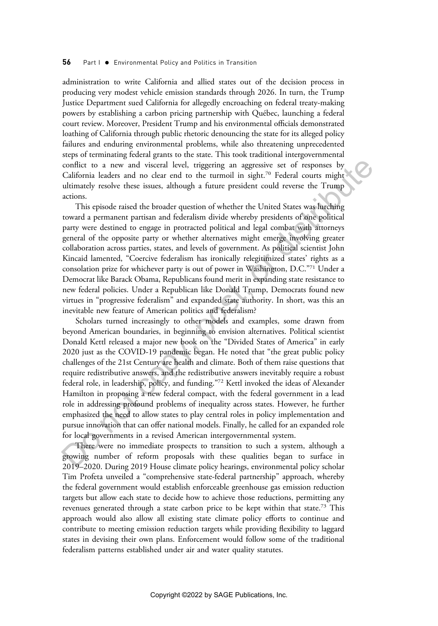administration to write California and allied states out of the decision process in producing very modest vehicle emission standards through 2026. In turn, the Trump Justice Department sued California for allegedly encroaching on federal treaty-making powers by establishing a carbon pricing partnership with Québec, launching a federal court review. Moreover, President Trump and his environmental officials demonstrated loathing of California through public rhetoric denouncing the state for its alleged policy failures and enduring environmental problems, while also threatening unprecedented steps of terminating federal grants to the state. This took traditional intergovernmental conflict to a new and visceral level, triggering an aggressive set of responses by California leaders and no clear end to the turmoil in sight.<sup>70</sup> Federal courts might ultimately resolve these issues, although a future president could reverse the Trump actions.

This episode raised the broader question of whether the United States was lurching toward a permanent partisan and federalism divide whereby presidents of one political party were destined to engage in protracted political and legal combat with attorneys general of the opposite party or whether alternatives might emerge involving greater collaboration across parties, states, and levels of government. As political scientist John Kincaid lamented, "Coercive federalism has ironically relegitimized states' rights as a consolation prize for whichever party is out of power in Washington, D.C."<sup>71</sup> Under a Democrat like Barack Obama, Republicans found merit in expanding state resistance to new federal policies. Under a Republican like Donald Trump, Democrats found new virtues in "progressive federalism" and expanded state authority. In short, was this an inevitable new feature of American politics and federalism?

Scholars turned increasingly to other models and examples, some drawn from beyond American boundaries, in beginning to envision alternatives. Political scientist Donald Kettl released a major new book on the "Divided States of America" in early 2020 just as the COVID-19 pandemic began. He noted that "the great public policy challenges of the 21st Century are health and climate. Both of them raise questions that require redistributive answers, and the redistributive answers inevitably require a robust federal role, in leadership, policy, and funding."<sup>72</sup> Kettl invoked the ideas of Alexander Hamilton in proposing a new federal compact, with the federal government in a lead role in addressing profound problems of inequality across states. However, he further emphasized the need to allow states to play central roles in policy implementation and pursue innovation that can offer national models. Finally, he called for an expanded role for local governments in a revised American intergovernmental system. conflict to a new ind viscoral level, tiggering an agressive set of responses by comparisotic Colifections, Colifections, and no determined resolutions, This episode observations, although a functe posision could reverse

There were no immediate prospects to transition to such a system, although a growing number of reform proposals with these qualities began to surface in 2019–2020. During 2019 House climate policy hearings, environmental policy scholar Tim Profeta unveiled a "comprehensive state-federal partnership" approach, whereby the federal government would establish enforceable greenhouse gas emission reduction targets but allow each state to decide how to achieve those reductions, permitting any revenues generated through a state carbon price to be kept within that state.73 This approach would also allow all existing state climate policy efforts to continue and contribute to meeting emission reduction targets while providing flexibility to laggard states in devising their own plans. Enforcement would follow some of the traditional federalism patterns established under air and water quality statutes.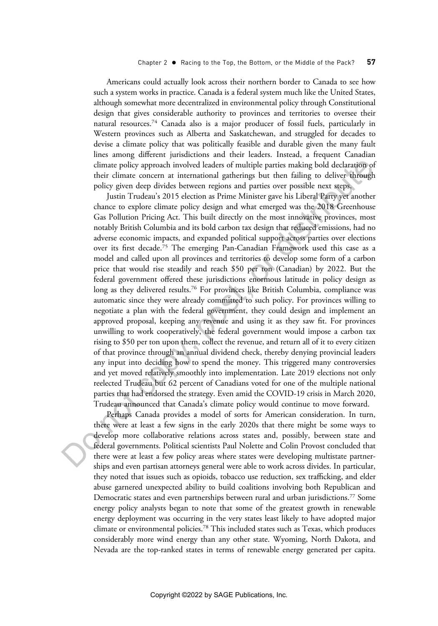Americans could actually look across their northern border to Canada to see how such a system works in practice. Canada is a federal system much like the United States, although somewhat more decentralized in environmental policy through Constitutional design that gives considerable authority to provinces and territories to oversee their natural resources.74 Canada also is a major producer of fossil fuels, particularly in Western provinces such as Alberta and Saskatchewan, and struggled for decades to devise a climate policy that was politically feasible and durable given the many fault lines among different jurisdictions and their leaders. Instead, a frequent Canadian climate policy approach involved leaders of multiple parties making bold declaration of their climate concern at international gatherings but then failing to deliver through policy given deep divides between regions and parties over possible next steps.

Justin Trudeau's 2015 election as Prime Minister gave his Liberal Party yet another chance to explore climate policy design and what emerged was the 2018 Greenhouse Gas Pollution Pricing Act. This built directly on the most innovative provinces, most notably British Columbia and its bold carbon tax design that reduced emissions, had no adverse economic impacts, and expanded political support across parties over elections over its first decade.75 The emerging Pan-Canadian Framework used this case as a model and called upon all provinces and territories to develop some form of a carbon price that would rise steadily and reach \$50 per ton (Canadian) by 2022. But the federal government offered these jurisdictions enormous latitude in policy design as long as they delivered results.<sup>76</sup> For provinces like British Columbia, compliance was automatic since they were already committed to such policy. For provinces willing to negotiate a plan with the federal government, they could design and implement an approved proposal, keeping any revenue and using it as they saw fit. For provinces unwilling to work cooperatively, the federal government would impose a carbon tax rising to \$50 per ton upon them, collect the revenue, and return all of it to every citizen of that province through an annual dividend check, thereby denying provincial leaders any input into deciding how to spend the money. This triggered many controversies and yet moved relatively smoothly into implementation. Late 2019 elections not only reelected Trudeau but 62 percent of Canadians voted for one of the multiple national parties that had endorsed the strategy. Even amid the COVID-19 crisis in March 2020, Trudeau announced that Canada's climate policy would continue to move forward. climate policy approach involved leaders of multipule parties making bol declared@y policy gives dependent involved leaders on majorities or provides by the antimal participation of participation (and the state state) and

Perhaps Canada provides a model of sorts for American consideration. In turn, there were at least a few signs in the early 2020s that there might be some ways to develop more collaborative relations across states and, possibly, between state and federal governments. Political scientists Paul Nolette and Colin Provost concluded that there were at least a few policy areas where states were developing multistate partnerships and even partisan attorneys general were able to work across divides. In particular, they noted that issues such as opioids, tobacco use reduction, sex trafficking, and elder abuse garnered unexpected ability to build coalitions involving both Republican and Democratic states and even partnerships between rural and urban jurisdictions.77 Some energy policy analysts began to note that some of the greatest growth in renewable energy deployment was occurring in the very states least likely to have adopted major climate or environmental policies.78 This included states such as Texas, which produces considerably more wind energy than any other state. Wyoming, North Dakota, and Nevada are the top-ranked states in terms of renewable energy generated per capita.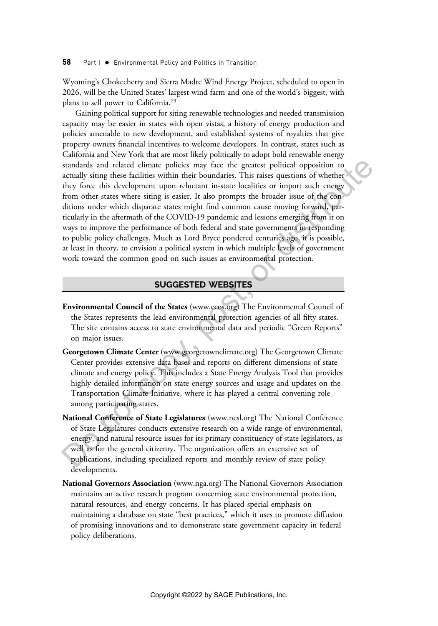Wyoming's Chokecherry and Sierra Madre Wind Energy Project, scheduled to open in 2026, will be the United States' largest wind farm and one of the world's biggest, with plans to sell power to California.79

Gaining political support for siting renewable technologies and needed transmission capacity may be easier in states with open vistas, a history of energy production and policies amenable to new development, and established systems of royalties that give property owners financial incentives to welcome developers. In contrast, states such as California and New York that are most likely politically to adopt bold renewable energy standards and related climate policies may face the greatest political opposition to actually siting these facilities within their boundaries. This raises questions of whether they force this development upon reluctant in-state localities or import such energy from other states where siting is easier. It also prompts the broader issue of the conditions under which disparate states might find common cause moving forward, particularly in the aftermath of the COVID-19 pandemic and lessons emerging from it on ways to improve the performance of both federal and state governments in responding to public policy challenges. Much as Lord Bryce pondered centuries ago, it is possible, at least in theory, to envision a political system in which multiple levels of government work toward the common good on such issues as environmental protection. strandard and reduce dimner policies may first the greatest policies applies the computer strandard and the strandard model by from other states where singlis singlic SE input such as policies of input such as the stranda

## SUGGESTED WEBSITES

- Environmental Council of the States (www.ecos.org) The Environmental Council of the States represents the lead environmental protection agencies of all fifty states. The site contains access to state environmental data and periodic "Green Reports" on major issues.
- Georgetown Climate Center (www.georgetownclimate.org) The Georgetown Climate Center provides extensive data bases and reports on different dimensions of state climate and energy policy. This includes a State Energy Analysis Tool that provides highly detailed information on state energy sources and usage and updates on the Transportation Climate Initiative, where it has played a central convening role among participating states.
- National Conference of State Legislatures (www.ncsl.org) The National Conference of State Legislatures conducts extensive research on a wide range of environmental, energy, and natural resource issues for its primary constituency of state legislators, as well as for the general citizenry. The organization offers an extensive set of publications, including specialized reports and monthly review of state policy developments.
- National Governors Association (www.nga.org) The National Governors Association maintains an active research program concerning state environmental protection, natural resources, and energy concerns. It has placed special emphasis on maintaining a database on state "best practices," which it uses to promote diffusion of promising innovations and to demonstrate state government capacity in federal policy deliberations.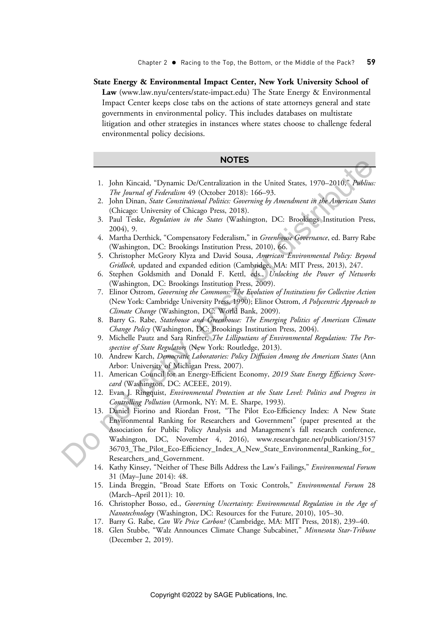Law (www.law.nyu/centers/state-impact.edu) The State Energy & Environmental<br>Impact Center, Neeps close tabs on the actions of state attorneys general and state Impact Center keeps close tabs on the actions of state attorneys general and state governments in environmental policy. This includes databases on multistate litigation and other strategies in instances where states choose to challenge federal environmental policy decisions.

### **NOTES**

- 1. John Kincaid, "Dynamic De/Centralization in the United States, 1970–2010," Publius: The Journal of Federalism 49 (October 2018): 166–93.
- 2. John Dinan, State Constitutional Politics: Governing by Amendment in the American States (Chicago: University of Chicago Press, 2018).
- 3. Paul Teske, Regulation in the States (Washington, DC: Brookings Institution Press, 2004), 9.
- 4. Martha Derthick, "Compensatory Federalism," in Greenhouse Governance, ed. Barry Rabe (Washington, DC: Brookings Institution Press, 2010), 66.
- 5. Christopher McGrory Klyza and David Sousa, American Environmental Policy: Beyond Gridlock, updated and expanded edition (Cambridge, MA: MIT Press, 2013), 247.
- 6. Stephen Goldsmith and Donald F. Kettl, eds., Unlocking the Power of Networks (Washington, DC: Brookings Institution Press, 2009).
- 7. Elinor Ostrom, Governing the Commons: The Evolution of Institutions for Collective Action (New York: Cambridge University Press, 1990); Elinor Ostrom, A Polycentric Approach to Climate Change (Washington, DC: World Bank, 2009).
- 8. Barry G. Rabe, Statehouse and Greenhouse: The Emerging Politics of American Climate Change Policy (Washington, DC: Brookings Institution Press, 2004).
- 9. Michelle Pautz and Sara Rinfret, The Lilliputians of Environmental Regulation: The Perspective of State Regulators (New York: Routledge, 2013).
- 10. Andrew Karch, Democratic Laboratories: Policy Diffusion Among the American States (Ann Arbor: University of Michigan Press, 2007).
- 11. American Council for an Energy-Efficient Economy, 2019 State Energy Efficiency Scorecard (Washington, DC: ACEEE, 2019).
- 12. Evan J. Ringquist, Environmental Protection at the State Level: Politics and Progress in Controlling Pollution (Armonk, NY: M. E. Sharpe, 1993).
- 13. Daniel Fiorino and Riordan Frost, "The Pilot Eco-Efficiency Index: A New State Environmental Ranking for Researchers and Government" (paper presented at the Association for Public Policy Analysis and Management's fall research conference, Washington, DC, November 4, 2016), www.researchgate.net/publication/3157 36703\_The\_Pilot\_Eco-Efficiency\_Index\_A\_New\_State\_Environmental\_Ranking\_for\_ Researchers\_and\_Government. **Columbia**<br>
1. John Kinesid, "Dynamic DeCerminterium in the United States. 1970-2016, *Publica*<br>
7*Be Johns Date Comitations (Notice 2018)*: 166-93.<br>
2. Johns Date Comitations (Notice 2018): 166-93.<br>
2. Cohenge University
	- 14. Kathy Kinsey, "Neither of These Bills Address the Law's Failings," Environmental Forum 31 (May–June 2014): 48.
	- 15. Linda Breggin, "Broad State Efforts on Toxic Controls," Environmental Forum 28 (March–April 2011): 10.
	- 16. Christopher Bosso, ed., Governing Uncertainty: Environmental Regulation in the Age of Nanotechnology (Washington, DC: Resources for the Future, 2010), 105-30.
	- 17. Barry G. Rabe, Can We Price Carbon? (Cambridge, MA: MIT Press, 2018), 239–40.
	- 18. Glen Stubbe, "Walz Announces Climate Change Subcabinet," Minnesota Star-Tribune (December 2, 2019).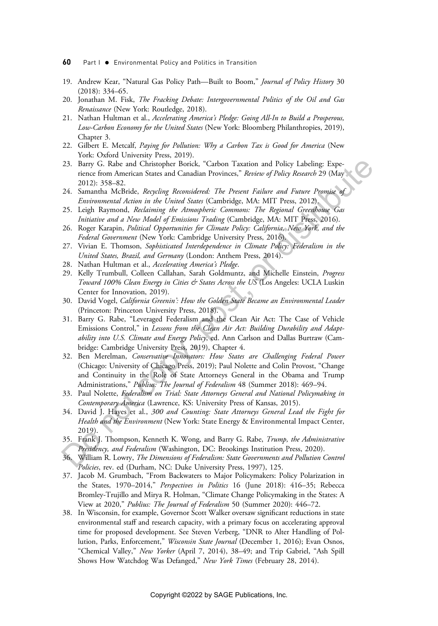- 60 Part I Environmental Policy and Politics in Transition
- 19. Andrew Kear, "Natural Gas Policy Path—Built to Boom," Journal of Policy History 30 (2018): 334–65.
- 20. Jonathan M. Fisk, The Fracking Debate: Intergovernmental Politics of the Oil and Gas Renaissance (New York: Routledge, 2018).
- 21. Nathan Hultman et al., Accelerating America's Pledge: Going All-In to Build a Prosperous, Low-Carbon Economy for the United States (New York: Bloomberg Philanthropies, 2019), Chapter 3.
- 22. Gilbert E. Metcalf, Paying for Pollution: Why a Carbon Tax is Good for America (New York: Oxford University Press, 2019).
- 23. Barry G. Rabe and Christopher Borick, "Carbon Taxation and Policy Labeling: Experience from American States and Canadian Provinces," Review of Policy Research 29 (May 2012): 358–82.
- 24. Samantha McBride, Recycling Reconsidered: The Present Failure and Future Promise of Environmental Action in the United States (Cambridge, MA: MIT Press, 2012).
- 25. Leigh Raymond, Reclaiming the Atmospheric Commons: The Regional Greenhouse Gas Initiative and a New Model of Emissions Trading (Cambridge, MA: MIT Press, 2016).
- 26. Roger Karapin, Political Opportunities for Climate Policy: California, New York, and the Federal Government (New York: Cambridge University Press, 2016).
- 27. Vivian E. Thomson, Sophisticated Interdependence in Climate Policy: Federalism in the United States, Brazil, and Germany (London: Anthem Press, 2014).
- 28. Nathan Hultman et al., Accelerating America's Pledge.
- 29. Kelly Trumbull, Colleen Callahan, Sarah Goldmuntz, and Michelle Einstein, Progress Toward 100% Clean Energy in Cities & States Across the US (Los Angeles: UCLA Luskin Center for Innovation, 2019).
- 30. David Vogel, California Greenin': How the Golden State Became an Environmental Leader (Princeton: Princeton University Press, 2018).
- 31. Barry G. Rabe, "Leveraged Federalism and the Clean Air Act: The Case of Vehicle Emissions Control," in Lessons from the Clean Air Act: Building Durability and Adaptability into U.S. Climate and Energy Policy, ed. Ann Carlson and Dallas Burtraw (Cambridge: Cambridge University Press, 2019), Chapter 4.
- 32. Ben Merelman, Conservative Innovators: How States are Challenging Federal Power (Chicago: University of Chicago Press, 2019); Paul Nolette and Colin Provost, "Change and Continuity in the Role of State Attorneys General in the Obama and Trump Administrations," Publius: The Journal of Federalism 48 (Summer 2018): 469-94.
- 33. Paul Nolette, Federalism on Trial: State Attorneys General and National Policymaking in Contemporary America (Lawrence, KS: University Press of Kansas, 2015).
- 34. David J. Hayes et al., 300 and Counting: State Attorneys General Lead the Fight for Health and the Environment (New York: State Energy & Environmental Impact Center, 2019).
- 35. Frank J. Thompson, Kenneth K. Wong, and Barry G. Rabe, Trump, the Administrative Presidency, and Federalism (Washington, DC: Brookings Institution Press, 2020).
- 36. William R. Lowry, The Dimensions of Federalism: State Governments and Pollution Control Policies, rev. ed (Durham, NC: Duke University Press, 1997), 125.
- 37. Jacob M. Grumbach, "From Backwaters to Major Policymakers: Policy Polarization in the States, 1970–2014," Perspectives in Politics 16 (June 2018): 416–35; Rebecca Bromley-Trujillo and Mirya R. Holman, "Climate Change Policymaking in the States: A View at 2020," Publius: The Journal of Federalism 50 (Summer 2020): 446–72.
- 38. In Wisconsin, for example, Governor Scott Walker oversaw significant reductions in state environmental staff and research capacity, with a primary focus on accelerating approval time for proposed development. See Steven Verberg, "DNR to Alter Handling of Pollution, Parks, Enforcement," Wisconsin State Journal (December 1, 2016); Evan Osnos, "Chemical Valley," New Yorker (April 7, 2014), 38–49; and Trip Gabriel, "Ash Spill Shows How Watchdog Was Defanged," New York Times (February 28, 2014). 23. Eury C. Redes and Cairlongher Dorotz, "Carlong Taxasing Distribute Electron And Taxas (2012). 358-82.<br>2012, Saramaha Melkide, *Regeling Recombend* The Present Follows and Policy Laboratory 2012, 2013, 2013, 2013, 2013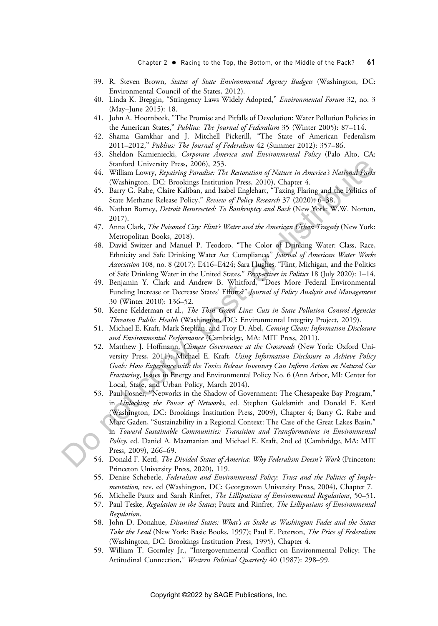- 39. R. Steven Brown, Status of State Environmental Agency Budgets (Washington, DC: Environmental Council of the States, 2012).
- 40. Linda K. Breggin, "Stringency Laws Widely Adopted," Environmental Forum 32, no. 3 (May–June 2015): 18.
- 41. John A. Hoornbeek, "The Promise and Pitfalls of Devolution: Water Pollution Policies in the American States," Publius: The Journal of Federalism 35 (Winter 2005): 87-114.
- 42. Shama Gamkhar and J. Mitchell Pickerill, "The State of American Federalism 2011–2012," Publius: The Journal of Federalism 42 (Summer 2012): 357–86.
- 43. Sheldon Kamieniecki, Corporate America and Environmental Policy (Palo Alto, CA: Stanford University Press, 2006), 253.
- 44. William Lowry, Repairing Paradise: The Restoration of Nature in America's National Parks (Washington, DC: Brookings Institution Press, 2010), Chapter 4.
- 45. Barry G. Rabe, Claire Kaliban, and Isabel Englehart, "Taxing Flaring and the Politics of State Methane Release Policy," Review of Policy Research 37 (2020): 6-38.
- 46. Nathan Borney, *Detroit Resurrected: To Bankruptcy and Back* (New York: W.W. Norton, 2017).
- 47. Anna Clark, The Poisoned City: Flint's Water and the American Urban Tragedy (New York: Metropolitan Books, 2018).
- 48. David Switzer and Manuel P. Teodoro, "The Color of Drinking Water: Class, Race, Ethnicity and Safe Drinking Water Act Compliance," Journal of American Water Works Association 108, no. 8 (2017): E416–E424; Sara Hughes, "Flint, Michigan, and the Politics of Safe Drinking Water in the United States," Perspectives in Politics 18 (July 2020): 1–14.
- 49. Benjamin Y. Clark and Andrew B. Whitford, "Does More Federal Environmental Funding Increase or Decrease States' Efforts?" Journal of Policy Analysis and Management 30 (Winter 2010): 136–52.
- 50. Keene Kelderman et al., The Thin Green Line: Cuts in State Pollution Control Agencies Threaten Public Health (Washington, DC: Environmental Integrity Project, 2019).
- 51. Michael E. Kraft, Mark Stephan, and Troy D. Abel, Coming Clean: Information Disclosure and Environmental Performance (Cambridge, MA: MIT Press, 2011).
- 52. Matthew J. Hoffmann, Climate Governance at the Crossroads (New York: Oxford University Press, 2011); Michael E. Kraft, Using Information Disclosure to Achieve Policy Goals: How Experience with the Toxics Release Inventory Can Inform Action on Natural Gas Fracturing, Issues in Energy and Environmental Policy No. 6 (Ann Arbor, MI: Center for Local, State, and Urban Policy, March 2014).
- 53. Paul Posner, "Networks in the Shadow of Government: The Chesapeake Bay Program," in Unlocking the Power of Networks, ed. Stephen Goldsmith and Donald F. Kettl (Washington, DC: Brookings Institution Press, 2009), Chapter 4; Barry G. Rabe and Marc Gaden, "Sustainability in a Regional Context: The Case of the Great Lakes Basin," in Toward Sustainable Communities: Transition and Transformations in Environmental Policy, ed. Daniel A. Mazmanian and Michael E. Kraft, 2nd ed (Cambridge, MA: MIT Press, 2009), 266–69. Samford University Piess, 2000, 2533.<br>
Satisfactions, Physicial Copyright Consider the Restriction of Nature in America's National Copies (Walter in Copyright Consider a Little Copyright Consider the National Direction Se
	- 54. Donald F. Kettl, The Divided States of America: Why Federalism Doesn't Work (Princeton: Princeton University Press, 2020), 119.
	- 55. Denise Scheberle, Federalism and Environmental Policy: Trust and the Politics of Implementation, rev. ed (Washington, DC: Georgetown University Press, 2004), Chapter 7.
	- 56. Michelle Pautz and Sarah Rinfret, The Lilliputians of Environmental Regulations, 50–51.
	- 57. Paul Teske, Regulation in the States; Pautz and Rinfret, The Lilliputians of Environmental Regulation.
	- 58. John D. Donahue, Disunited States: What's at Stake as Washington Fades and the States Take the Lead (New York: Basic Books, 1997); Paul E. Peterson, The Price of Federalism (Washington, DC: Brookings Institution Press, 1995), Chapter 4.
	- 59. William T. Gormley Jr., "Intergovernmental Conflict on Environmental Policy: The Attitudinal Connection," Western Political Quarterly 40 (1987): 298-99.